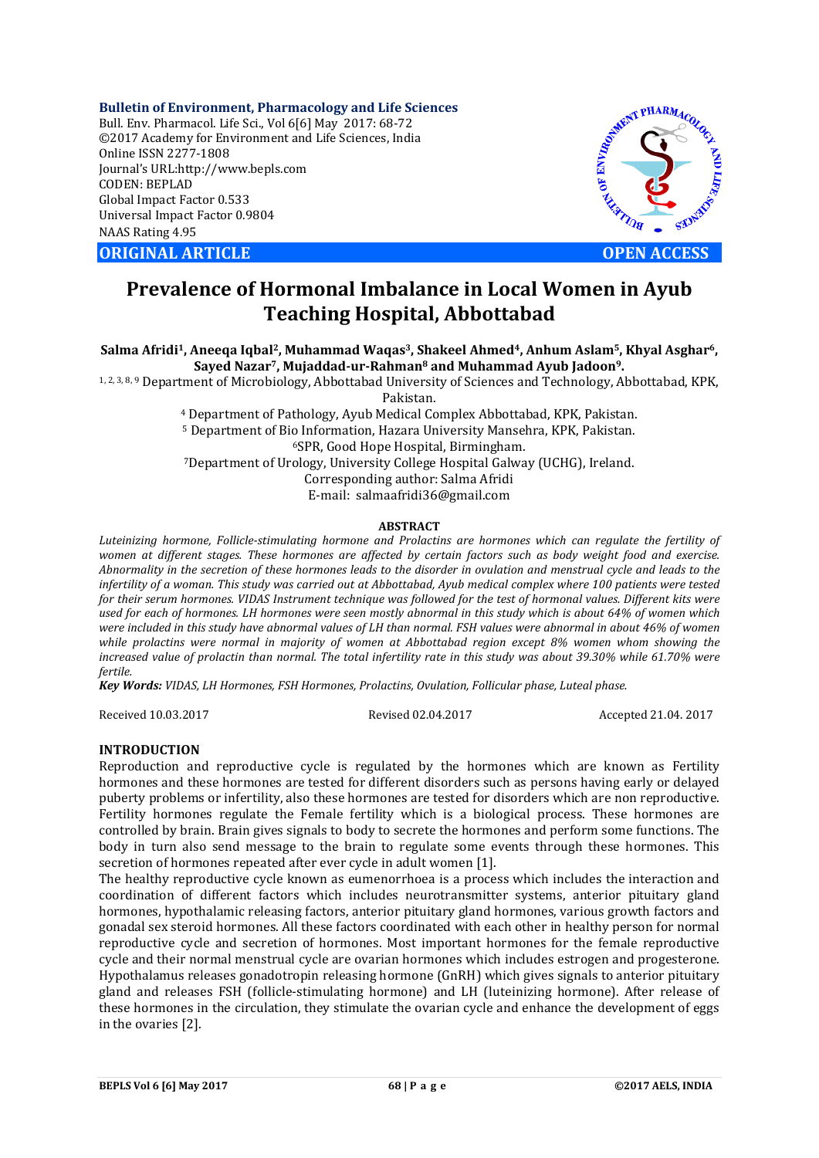**Bulletin of Environment, Pharmacology and Life Sciences** Bull. Env. Pharmacol. Life Sci., Vol 6[6] May 2017: 68-72 ©2017 Academy for Environment and Life Sciences, India Online ISSN 2277-1808 Journal's URL:http://www.bepls.com CODEN: BEPLAD Global Impact Factor 0.533 Universal Impact Factor 0.9804 NAAS Rating 4.95

**ORIGINAL ARTICLE OPEN ACCESS** 



# **Prevalence of Hormonal Imbalance in Local Women in Ayub Teaching Hospital, Abbottabad**

Salma Afridi<sup>1</sup>, Aneeqa Iqbal<sup>2</sup>, Muhammad Waqas<sup>3</sup>, Shakeel Ahmed<sup>4</sup>, Anhum Aslam<sup>5</sup>, Khyal Asghar<sup>6</sup>, **Sayed Nazar7, Mujaddad-ur-Rahman8 and Muhammad Ayub Jadoon9.**

1, 2, 3, 8, 9 Department of Microbiology, Abbottabad University of Sciences and Technology, Abbottabad, KPK, Pakistan.

> <sup>4</sup> Department of Pathology, Ayub Medical Complex Abbottabad, KPK, Pakistan. <sup>5</sup> Department of Bio Information, Hazara University Mansehra, KPK, Pakistan. 6SPR, Good Hope Hospital, Birmingham. 7Department of Urology, University College Hospital Galway (UCHG), Ireland. Corresponding author: Salma Afridi E-mail: salmaafridi36@gmail.com

## **ABSTRACT**

*Luteinizing hormone, Follicle-stimulating hormone and Prolactins are hormones which can regulate the fertility of women at different stages. These hormones are affected by certain factors such as body weight food and exercise. Abnormality in the secretion of these hormones leads to the disorder in ovulation and menstrual cycle and leads to the infertility of a woman. This study was carried out at Abbottabad, Ayub medical complex where 100 patients were tested for their serum hormones. VIDAS Instrument technique was followed for the test of hormonal values. Different kits were used for each of hormones. LH hormones were seen mostly abnormal in this study which is about 64% of women which were included in this study have abnormal values of LH than normal. FSH values were abnormal in about 46% of women while prolactins were normal in majority of women at Abbottabad region except 8% women whom showing the increased value of prolactin than normal. The total infertility rate in this study was about 39.30% while 61.70% were fertile.*

*Key Words: VIDAS, LH Hormones, FSH Hormones, Prolactins, Ovulation, Follicular phase, Luteal phase.*

Received 10.03.2017 Revised 02.04.2017 Accepted 21.04. 2017

# **INTRODUCTION**

Reproduction and reproductive cycle is regulated by the hormones which are known as Fertility hormones and these hormones are tested for different disorders such as persons having early or delayed puberty problems or infertility, also these hormones are tested for disorders which are non reproductive. Fertility hormones regulate the Female fertility which is a biological process. These hormones are controlled by brain. Brain gives signals to body to secrete the hormones and perform some functions. The body in turn also send message to the brain to regulate some events through these hormones. This secretion of hormones repeated after ever cycle in adult women [1].

The healthy reproductive cycle known as eumenorrhoea is a process which includes the interaction and coordination of different factors which includes neurotransmitter systems, anterior pituitary gland hormones, hypothalamic releasing factors, anterior pituitary gland hormones, various growth factors and gonadal sex steroid hormones. All these factors coordinated with each other in healthy person for normal reproductive cycle and secretion of hormones. Most important hormones for the female reproductive cycle and their normal menstrual cycle are ovarian hormones which includes estrogen and progesterone. Hypothalamus releases gonadotropin releasing hormone (GnRH) which gives signals to anterior pituitary gland and releases FSH (follicle-stimulating hormone) and LH (luteinizing hormone). After release of these hormones in the circulation, they stimulate the ovarian cycle and enhance the development of eggs in the ovaries [2].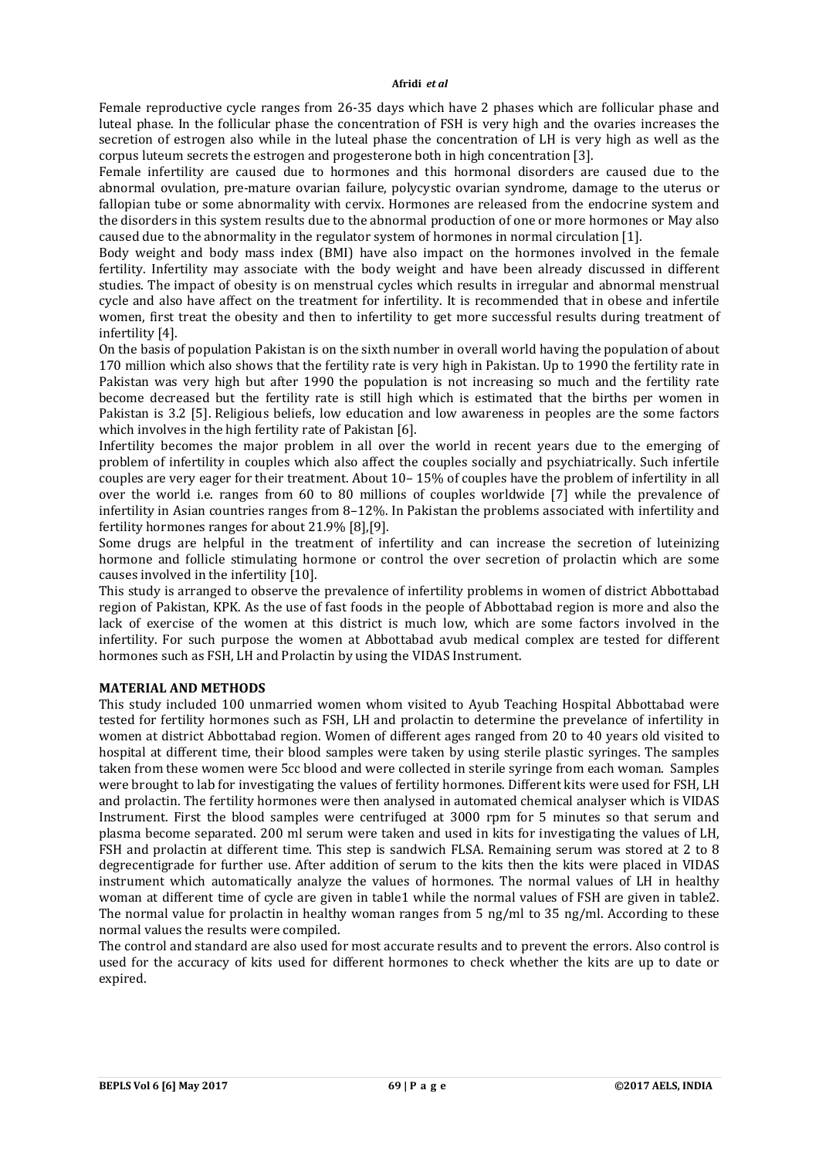Female reproductive cycle ranges from 26-35 days which have 2 phases which are follicular phase and luteal phase. In the follicular phase the concentration of FSH is very high and the ovaries increases the secretion of estrogen also while in the luteal phase the concentration of LH is very high as well as the corpus luteum secrets the estrogen and progesterone both in high concentration [3].

Female infertility are caused due to hormones and this hormonal disorders are caused due to the abnormal ovulation, pre-mature ovarian failure, polycystic ovarian syndrome, damage to the uterus or fallopian tube or some abnormality with cervix. Hormones are released from the endocrine system and the disorders in this system results due to the abnormal production of one or more hormones or May also caused due to the abnormality in the regulator system of hormones in normal circulation [1].

Body weight and body mass index (BMI) have also impact on the hormones involved in the female fertility. Infertility may associate with the body weight and have been already discussed in different studies. The impact of obesity is on menstrual cycles which results in irregular and abnormal menstrual cycle and also have affect on the treatment for infertility. It is recommended that in obese and infertile women, first treat the obesity and then to infertility to get more successful results during treatment of infertility [4].

On the basis of population Pakistan is on the sixth number in overall world having the population of about 170 million which also shows that the fertility rate is very high in Pakistan. Up to 1990 the fertility rate in Pakistan was very high but after 1990 the population is not increasing so much and the fertility rate become decreased but the fertility rate is still high which is estimated that the births per women in Pakistan is 3.2 [5]. Religious beliefs, low education and low awareness in peoples are the some factors which involves in the high fertility rate of Pakistan [6].

Infertility becomes the major problem in all over the world in recent years due to the emerging of problem of infertility in couples which also affect the couples socially and psychiatrically. Such infertile couples are very eager for their treatment. About 10– 15% of couples have the problem of infertility in all over the world i.e. ranges from 60 to 80 millions of couples worldwide [7] while the prevalence of infertility in Asian countries ranges from 8–12%. In Pakistan the problems associated with infertility and fertility hormones ranges for about 21.9% [8],[9].

Some drugs are helpful in the treatment of infertility and can increase the secretion of luteinizing hormone and follicle stimulating hormone or control the over secretion of prolactin which are some causes involved in the infertility [10].

This study is arranged to observe the prevalence of infertility problems in women of district Abbottabad region of Pakistan, KPK. As the use of fast foods in the people of Abbottabad region is more and also the lack of exercise of the women at this district is much low, which are some factors involved in the infertility. For such purpose the women at Abbottabad avub medical complex are tested for different hormones such as FSH, LH and Prolactin by using the VIDAS Instrument.

# **MATERIAL AND METHODS**

This study included 100 unmarried women whom visited to Ayub Teaching Hospital Abbottabad were tested for fertility hormones such as FSH, LH and prolactin to determine the prevelance of infertility in women at district Abbottabad region. Women of different ages ranged from 20 to 40 years old visited to hospital at different time, their blood samples were taken by using sterile plastic syringes. The samples taken from these women were 5cc blood and were collected in sterile syringe from each woman. Samples were brought to lab for investigating the values of fertility hormones. Different kits were used for FSH, LH and prolactin. The fertility hormones were then analysed in automated chemical analyser which is VIDAS Instrument. First the blood samples were centrifuged at 3000 rpm for 5 minutes so that serum and plasma become separated. 200 ml serum were taken and used in kits for investigating the values of LH, FSH and prolactin at different time. This step is sandwich FLSA. Remaining serum was stored at 2 to 8 degrecentigrade for further use. After addition of serum to the kits then the kits were placed in VIDAS instrument which automatically analyze the values of hormones. The normal values of LH in healthy woman at different time of cycle are given in table1 while the normal values of FSH are given in table2. The normal value for prolactin in healthy woman ranges from  $5 \text{ ng/ml}$  to  $35 \text{ ng/ml}$ . According to these normal values the results were compiled.

The control and standard are also used for most accurate results and to prevent the errors. Also control is used for the accuracy of kits used for different hormones to check whether the kits are up to date or expired.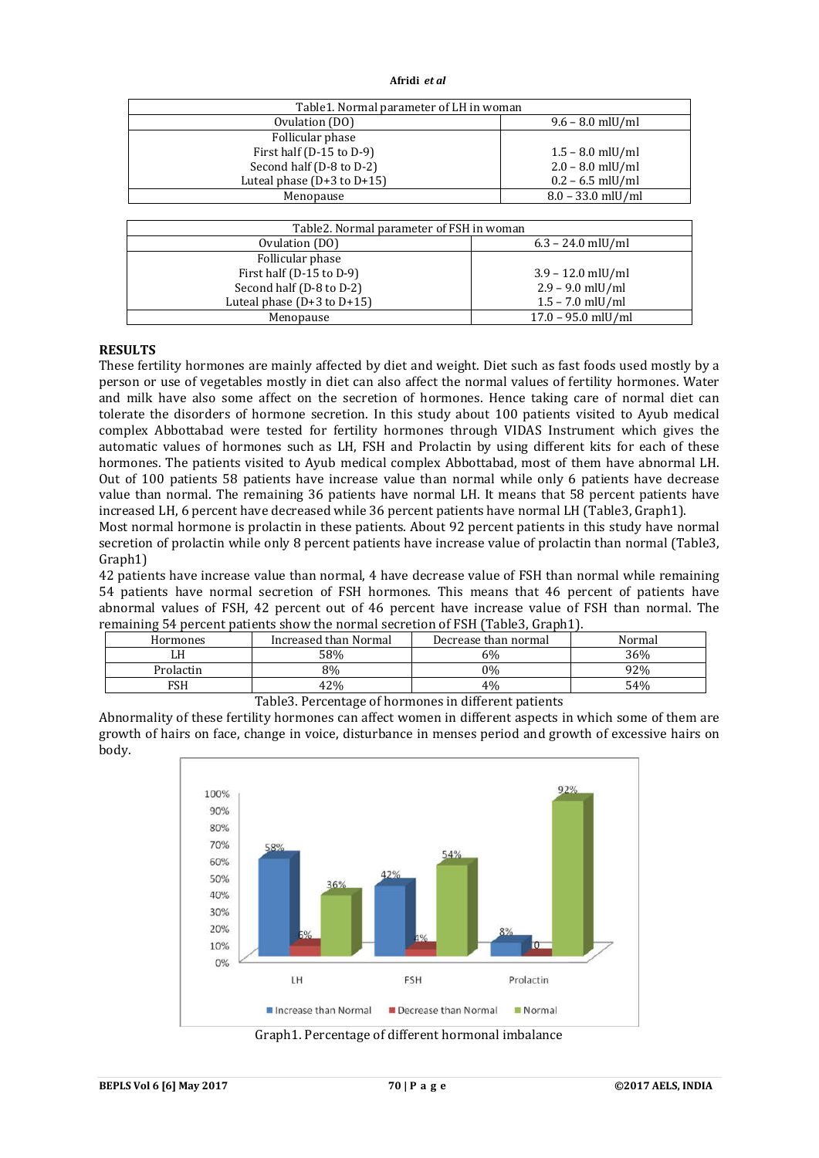| Table1. Normal parameter of LH in woman |  |  |  |  |
|-----------------------------------------|--|--|--|--|
| $9.6 - 8.0$ mlU/ml                      |  |  |  |  |
|                                         |  |  |  |  |
| $1.5 - 8.0$ mlU/ml                      |  |  |  |  |
| $2.0 - 8.0$ mlU/ml                      |  |  |  |  |
| $0.2 - 6.5$ mlU/ml                      |  |  |  |  |
| $8.0 - 33.0$ mlU/ml                     |  |  |  |  |
|                                         |  |  |  |  |

| Table 2. Normal parameter of FSH in woman |                      |  |  |  |
|-------------------------------------------|----------------------|--|--|--|
|                                           |                      |  |  |  |
| Ovulation (DO)                            | $6.3 - 24.0$ mlU/ml  |  |  |  |
| Follicular phase                          |                      |  |  |  |
| First half (D-15 to D-9)                  | $3.9 - 12.0$ mlU/ml  |  |  |  |
| Second half (D-8 to D-2)                  | $2.9 - 9.0$ mlU/ml   |  |  |  |
| Luteal phase $(D+3$ to $D+15$ )           | $1.5 - 7.0$ mlU/ml   |  |  |  |
| Menopause                                 | $17.0 - 95.0$ mlU/ml |  |  |  |

# **RESULTS**

These fertility hormones are mainly affected by diet and weight. Diet such as fast foods used mostly by a person or use of vegetables mostly in diet can also affect the normal values of fertility hormones. Water and milk have also some affect on the secretion of hormones. Hence taking care of normal diet can tolerate the disorders of hormone secretion. In this study about 100 patients visited to Ayub medical complex Abbottabad were tested for fertility hormones through VIDAS Instrument which gives the automatic values of hormones such as LH, FSH and Prolactin by using different kits for each of these hormones. The patients visited to Ayub medical complex Abbottabad, most of them have abnormal LH. Out of 100 patients 58 patients have increase value than normal while only 6 patients have decrease value than normal. The remaining 36 patients have normal LH. It means that 58 percent patients have increased LH, 6 percent have decreased while 36 percent patients have normal LH (Table3, Graph1).

Most normal hormone is prolactin in these patients. About 92 percent patients in this study have normal secretion of prolactin while only 8 percent patients have increase value of prolactin than normal (Table3, Graph1)

42 patients have increase value than normal, 4 have decrease value of FSH than normal while remaining 54 patients have normal secretion of FSH hormones. This means that 46 percent of patients have abnormal values of FSH, 42 percent out of 46 percent have increase value of FSH than normal. The remaining 54 percent patients show the normal secretion of FSH (Table3, Graph1).

| Hormones  | Increased than Normal | Decrease than normal | Normal |
|-----------|-----------------------|----------------------|--------|
|           | 58%                   | 6%                   | 36%    |
| Prolactin | 8%                    | 0%                   | 92%    |
| FSH       | 42%                   | 4%                   | 54%    |

Table3. Percentage of hormones in different patients

Abnormality of these fertility hormones can affect women in different aspects in which some of them are growth of hairs on face, change in voice, disturbance in menses period and growth of excessive hairs on body.



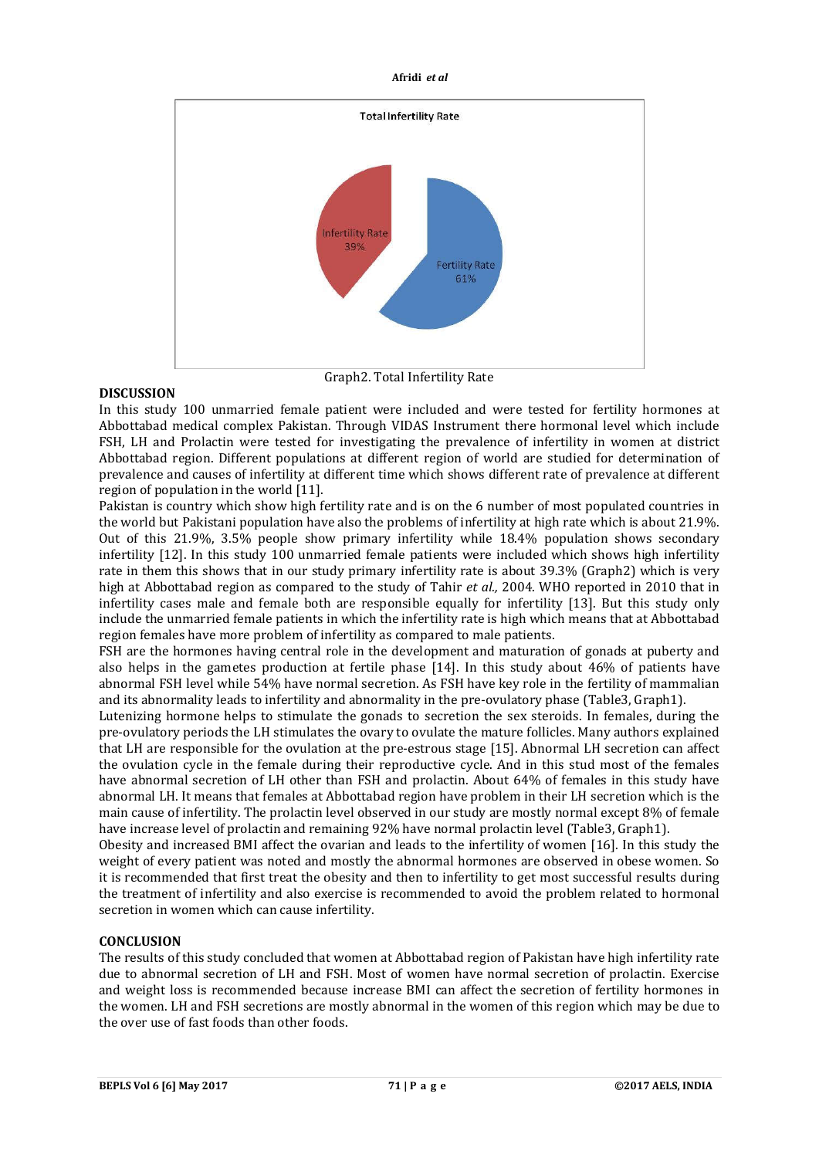

# **DISCUSSION**

In this study 100 unmarried female patient were included and were tested for fertility hormones at Abbottabad medical complex Pakistan. Through VIDAS Instrument there hormonal level which include FSH, LH and Prolactin were tested for investigating the prevalence of infertility in women at district Abbottabad region. Different populations at different region of world are studied for determination of prevalence and causes of infertility at different time which shows different rate of prevalence at different region of population in the world [11].

Pakistan is country which show high fertility rate and is on the 6 number of most populated countries in the world but Pakistani population have also the problems of infertility at high rate which is about 21.9%. Out of this 21.9%, 3.5% people show primary infertility while 18.4% population shows secondary infertility [12]. In this study 100 unmarried female patients were included which shows high infertility rate in them this shows that in our study primary infertility rate is about 39.3% (Graph2) which is very high at Abbottabad region as compared to the study of Tahir *et al.,* 2004. WHO reported in 2010 that in infertility cases male and female both are responsible equally for infertility [13]. But this study only include the unmarried female patients in which the infertility rate is high which means that at Abbottabad region females have more problem of infertility as compared to male patients.

FSH are the hormones having central role in the development and maturation of gonads at puberty and also helps in the gametes production at fertile phase [14]. In this study about 46% of patients have abnormal FSH level while 54% have normal secretion. As FSH have key role in the fertility of mammalian and its abnormality leads to infertility and abnormality in the pre-ovulatory phase (Table3, Graph1).

Lutenizing hormone helps to stimulate the gonads to secretion the sex steroids. In females, during the pre-ovulatory periods the LH stimulates the ovary to ovulate the mature follicles. Many authors explained that LH are responsible for the ovulation at the pre-estrous stage [15]. Abnormal LH secretion can affect the ovulation cycle in the female during their reproductive cycle. And in this stud most of the females have abnormal secretion of LH other than FSH and prolactin. About 64% of females in this study have abnormal LH. It means that females at Abbottabad region have problem in their LH secretion which is the main cause of infertility. The prolactin level observed in our study are mostly normal except 8% of female have increase level of prolactin and remaining 92% have normal prolactin level (Table3, Graph1).

Obesity and increased BMI affect the ovarian and leads to the infertility of women [16]. In this study the weight of every patient was noted and mostly the abnormal hormones are observed in obese women. So it is recommended that first treat the obesity and then to infertility to get most successful results during the treatment of infertility and also exercise is recommended to avoid the problem related to hormonal secretion in women which can cause infertility.

# **CONCLUSION**

The results of this study concluded that women at Abbottabad region of Pakistan have high infertility rate due to abnormal secretion of LH and FSH. Most of women have normal secretion of prolactin. Exercise and weight loss is recommended because increase BMI can affect the secretion of fertility hormones in the women. LH and FSH secretions are mostly abnormal in the women of this region which may be due to the over use of fast foods than other foods.